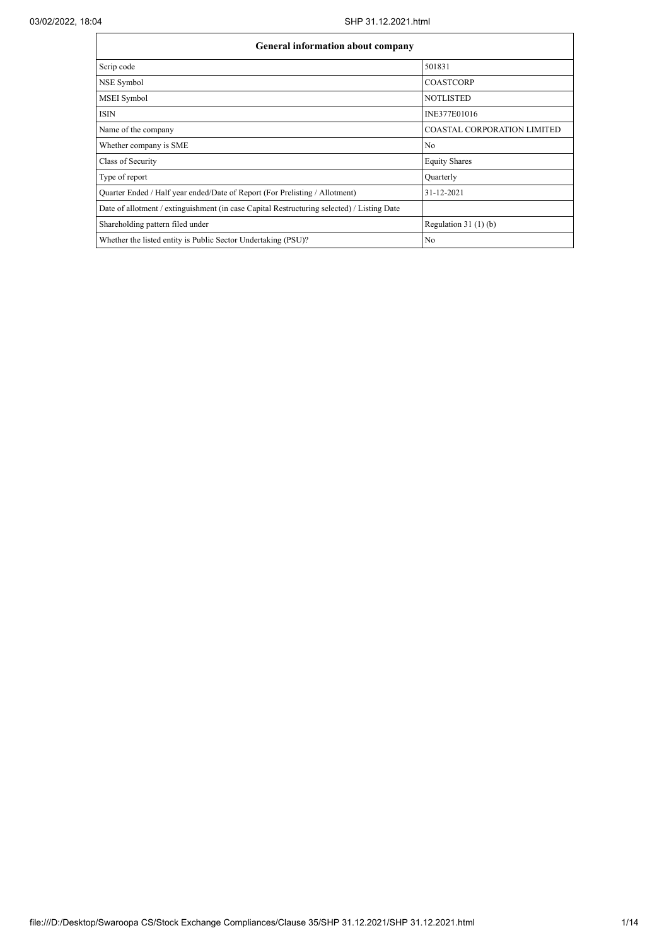$\mathbf{r}$ 

| <b>General information about company</b>                                                   |                                    |  |  |  |  |  |  |  |
|--------------------------------------------------------------------------------------------|------------------------------------|--|--|--|--|--|--|--|
| Scrip code                                                                                 | 501831                             |  |  |  |  |  |  |  |
| NSE Symbol                                                                                 | <b>COASTCORP</b>                   |  |  |  |  |  |  |  |
| MSEI Symbol                                                                                | <b>NOTLISTED</b>                   |  |  |  |  |  |  |  |
| <b>ISIN</b>                                                                                | INE377E01016                       |  |  |  |  |  |  |  |
| Name of the company                                                                        | <b>COASTAL CORPORATION LIMITED</b> |  |  |  |  |  |  |  |
| Whether company is SME                                                                     | No                                 |  |  |  |  |  |  |  |
| Class of Security                                                                          | <b>Equity Shares</b>               |  |  |  |  |  |  |  |
| Type of report                                                                             | Quarterly                          |  |  |  |  |  |  |  |
| Quarter Ended / Half year ended/Date of Report (For Prelisting / Allotment)                | 31-12-2021                         |  |  |  |  |  |  |  |
| Date of allotment / extinguishment (in case Capital Restructuring selected) / Listing Date |                                    |  |  |  |  |  |  |  |
| Shareholding pattern filed under                                                           | Regulation $31(1)(b)$              |  |  |  |  |  |  |  |
| Whether the listed entity is Public Sector Undertaking (PSU)?                              | No                                 |  |  |  |  |  |  |  |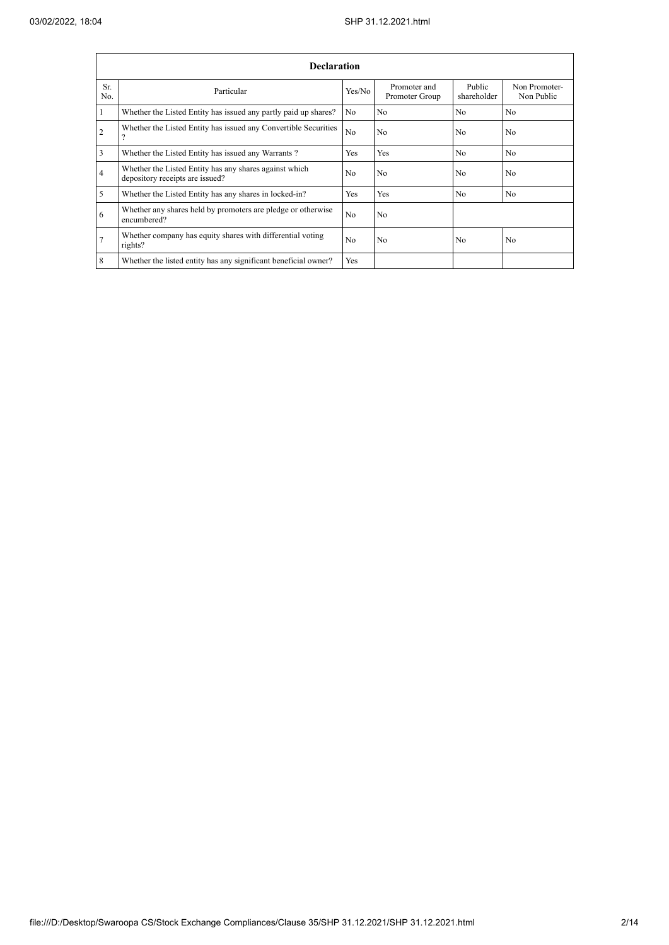|                | <b>Declaration</b>                                                                        |                |                                |                       |                             |  |  |  |  |  |
|----------------|-------------------------------------------------------------------------------------------|----------------|--------------------------------|-----------------------|-----------------------------|--|--|--|--|--|
| Sr.<br>No.     | Particular                                                                                | Yes/No         | Promoter and<br>Promoter Group | Public<br>shareholder | Non Promoter-<br>Non Public |  |  |  |  |  |
|                | Whether the Listed Entity has issued any partly paid up shares?                           | N <sub>o</sub> | N <sub>o</sub>                 | N <sub>o</sub>        | N <sub>o</sub>              |  |  |  |  |  |
| $\overline{c}$ | Whether the Listed Entity has issued any Convertible Securities                           | N <sub>o</sub> | No                             | N <sub>0</sub>        | No                          |  |  |  |  |  |
| 3              | Whether the Listed Entity has issued any Warrants?                                        | <b>Yes</b>     | Yes                            | N <sub>o</sub>        | N <sub>0</sub>              |  |  |  |  |  |
| 4              | Whether the Listed Entity has any shares against which<br>depository receipts are issued? | N <sub>0</sub> | N <sub>o</sub>                 | N <sub>0</sub>        | N <sub>0</sub>              |  |  |  |  |  |
| 5              | Whether the Listed Entity has any shares in locked-in?                                    | Yes            | Yes                            | N <sub>o</sub>        | N <sub>0</sub>              |  |  |  |  |  |
| 6              | Whether any shares held by promoters are pledge or otherwise<br>encumbered?               | N <sub>0</sub> | N <sub>o</sub>                 |                       |                             |  |  |  |  |  |
| 7              | Whether company has equity shares with differential voting<br>rights?                     | N <sub>o</sub> | N <sub>o</sub>                 | No                    | N <sub>o</sub>              |  |  |  |  |  |
| 8              | Whether the listed entity has any significant beneficial owner?                           | Yes            |                                |                       |                             |  |  |  |  |  |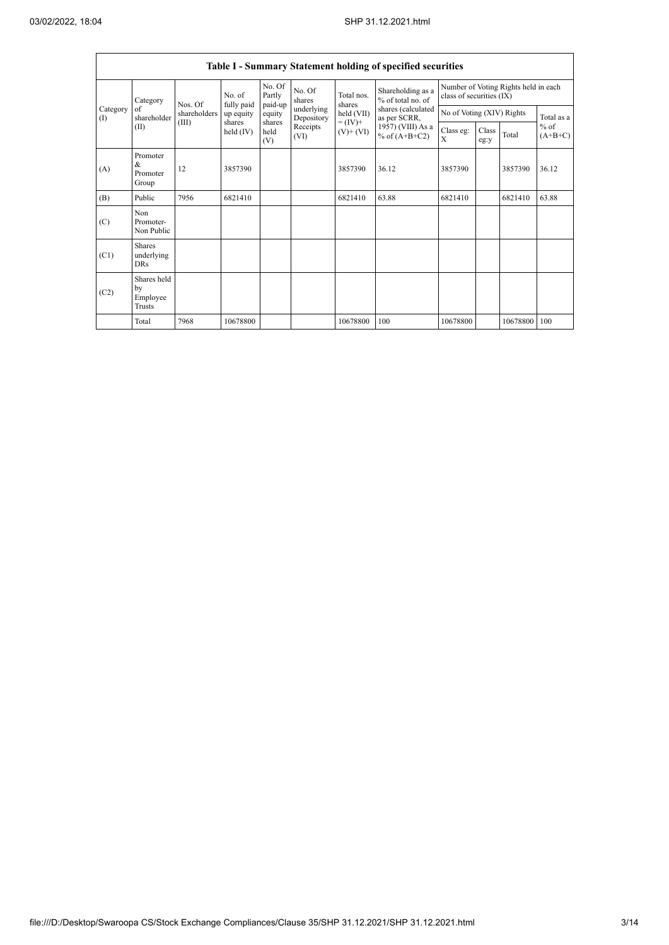$\mathsf{r}$ 

 $\overline{\phantom{0}}$ 

|                          | Table I - Summary Statement holding of specified securities |              |                       |                             |                          |                              |                                        |                                                                  |               |          |                                   |  |  |
|--------------------------|-------------------------------------------------------------|--------------|-----------------------|-----------------------------|--------------------------|------------------------------|----------------------------------------|------------------------------------------------------------------|---------------|----------|-----------------------------------|--|--|
|                          | Category<br>of<br>shareholder<br>(II)                       | Nos. Of      | No. of<br>fully paid  | No. Of<br>Partly<br>paid-up | No. Of<br>shares         | Total nos.<br>shares         | Shareholding as a<br>% of total no. of | Number of Voting Rights held in each<br>class of securities (IX) |               |          |                                   |  |  |
| Category<br>$($ $\Gamma$ |                                                             | shareholders | up equity             | equity                      | underlying<br>Depository | held (VII)                   | shares (calculated<br>as per SCRR,     | No of Voting (XIV) Rights                                        |               |          | Total as a<br>$%$ of<br>$(A+B+C)$ |  |  |
|                          |                                                             | (III)        | shares<br>held $(IV)$ | shares<br>held<br>(V)       | Receipts<br>(VI)         | $= (IV) +$<br>$(V)$ + $(VI)$ | 1957) (VIII) As a<br>% of $(A+B+C2)$   | Class eg:<br>X                                                   | Class<br>eg:y | Total    |                                   |  |  |
| (A)                      | Promoter<br>&<br>Promoter<br>Group                          | 12           | 3857390               |                             |                          | 3857390                      | 36.12                                  | 3857390                                                          |               | 3857390  | 36.12                             |  |  |
| (B)                      | Public                                                      | 7956         | 6821410               |                             |                          | 6821410                      | 63.88                                  | 6821410                                                          |               | 6821410  | 63.88                             |  |  |
| (C)                      | Non<br>Promoter-<br>Non Public                              |              |                       |                             |                          |                              |                                        |                                                                  |               |          |                                   |  |  |
| (C1)                     | <b>Shares</b><br>underlying<br><b>DRs</b>                   |              |                       |                             |                          |                              |                                        |                                                                  |               |          |                                   |  |  |
| (C2)                     | Shares held<br>by<br>Employee<br>Trusts                     |              |                       |                             |                          |                              |                                        |                                                                  |               |          |                                   |  |  |
|                          | Total                                                       | 7968         | 10678800              |                             |                          | 10678800                     | 100                                    | 10678800                                                         |               | 10678800 | 100                               |  |  |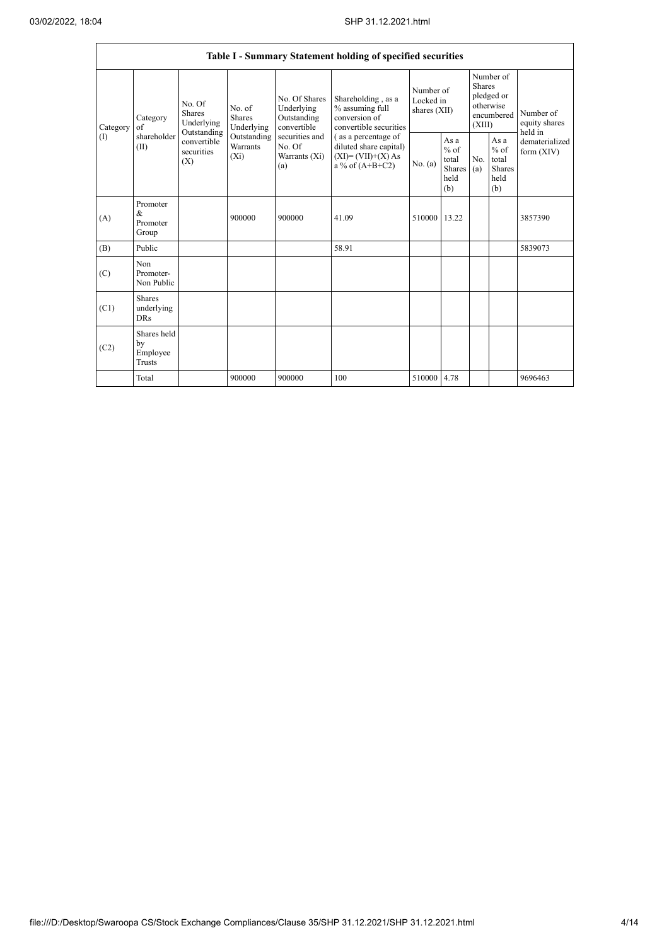|                 |                                                |                                          |                                                                             |                                                                                                                  | Table I - Summary Statement holding of specified securities                                                                                                                     |                                          |                                                  |                                                                               |                                                  |                                       |
|-----------------|------------------------------------------------|------------------------------------------|-----------------------------------------------------------------------------|------------------------------------------------------------------------------------------------------------------|---------------------------------------------------------------------------------------------------------------------------------------------------------------------------------|------------------------------------------|--------------------------------------------------|-------------------------------------------------------------------------------|--------------------------------------------------|---------------------------------------|
| Category<br>(1) | Category<br>of<br>shareholder<br>(II)<br>(X)   | No. Of<br><b>Shares</b><br>Underlying    | No. of<br><b>Shares</b><br>Underlying<br>Outstanding<br>Warrants<br>$(X_i)$ | No. Of Shares<br>Underlying<br>Outstanding<br>convertible<br>securities and<br>No. Of<br>Warrants $(X_i)$<br>(a) | Shareholding, as a<br>% assuming full<br>conversion of<br>convertible securities<br>(as a percentage of<br>diluted share capital)<br>$(XI) = (VII)+(X) As$<br>a % of $(A+B+C2)$ | Number of<br>Locked in<br>shares $(XII)$ |                                                  | Number of<br><b>Shares</b><br>pledged or<br>otherwise<br>encumbered<br>(XIII) |                                                  | Number of<br>equity shares<br>held in |
|                 |                                                | Outstanding<br>convertible<br>securities |                                                                             |                                                                                                                  |                                                                                                                                                                                 | No. (a)                                  | As a<br>$%$ of<br>total<br>Shares<br>held<br>(b) | No.<br>(a)                                                                    | As a<br>$%$ of<br>total<br>Shares<br>held<br>(b) | dematerialized<br>form $(XIV)$        |
| (A)             | Promoter<br>&<br>Promoter<br>Group             |                                          | 900000                                                                      | 900000                                                                                                           | 41.09                                                                                                                                                                           | 510000 13.22                             |                                                  |                                                                               |                                                  | 3857390                               |
| (B)             | Public                                         |                                          |                                                                             |                                                                                                                  | 58.91                                                                                                                                                                           |                                          |                                                  |                                                                               |                                                  | 5839073                               |
| (C)             | Non<br>Promoter-<br>Non Public                 |                                          |                                                                             |                                                                                                                  |                                                                                                                                                                                 |                                          |                                                  |                                                                               |                                                  |                                       |
| (C1)            | <b>Shares</b><br>underlying<br><b>DRs</b>      |                                          |                                                                             |                                                                                                                  |                                                                                                                                                                                 |                                          |                                                  |                                                                               |                                                  |                                       |
| (C2)            | Shares held<br>by<br>Employee<br><b>Trusts</b> |                                          |                                                                             |                                                                                                                  |                                                                                                                                                                                 |                                          |                                                  |                                                                               |                                                  |                                       |
|                 | Total                                          |                                          | 900000                                                                      | 900000                                                                                                           | 100                                                                                                                                                                             | 510000 4.78                              |                                                  |                                                                               |                                                  | 9696463                               |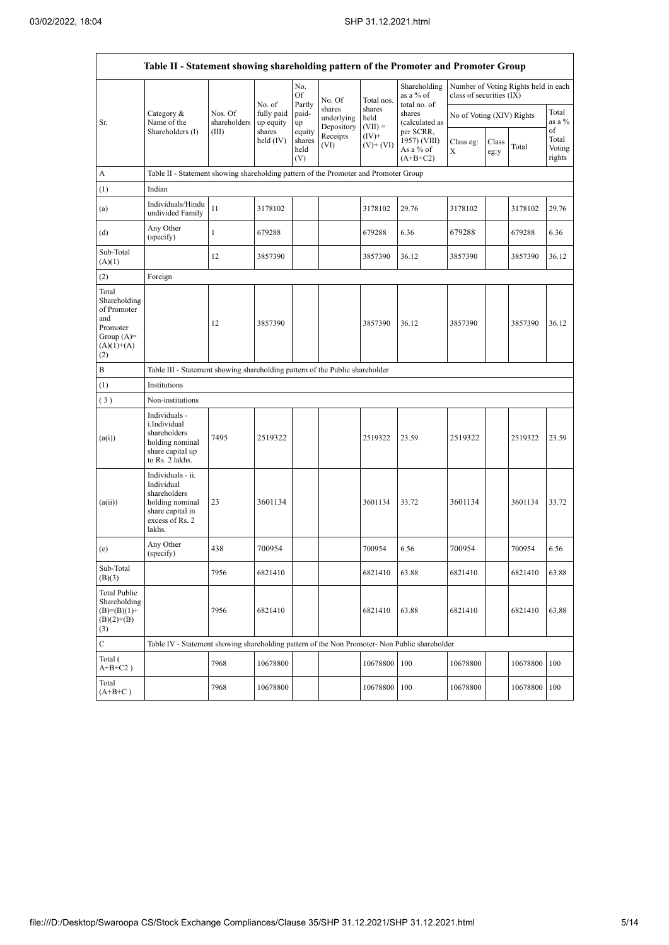|                                                                                                | Table II - Statement showing shareholding pattern of the Promoter and Promoter Group                                |                                                                              |                                             |                                 |                                    |                             |                                           |                           |               |                                      |                           |  |  |
|------------------------------------------------------------------------------------------------|---------------------------------------------------------------------------------------------------------------------|------------------------------------------------------------------------------|---------------------------------------------|---------------------------------|------------------------------------|-----------------------------|-------------------------------------------|---------------------------|---------------|--------------------------------------|---------------------------|--|--|
|                                                                                                |                                                                                                                     |                                                                              |                                             | No.<br>Of                       | No. Of                             | Total nos.                  | Shareholding<br>as a % of<br>total no. of | class of securities (IX)  |               | Number of Voting Rights held in each |                           |  |  |
| Sr.                                                                                            | Category &<br>Name of the<br>Shareholders (I)                                                                       | Nos. Of<br>shareholders<br>(III)                                             | No. of<br>fully paid<br>up equity<br>shares | Partly<br>paid-<br>up           | shares<br>underlying<br>Depository | shares<br>held<br>$(VII) =$ | shares<br>(calculated as<br>per SCRR,     | No of Voting (XIV) Rights |               |                                      | Total<br>as a %<br>of     |  |  |
|                                                                                                |                                                                                                                     |                                                                              | held $(IV)$                                 | equity<br>shares<br>held<br>(V) | Receipts<br>(VI)                   | $(IV)^+$<br>$(V)$ + $(VI)$  | 1957) (VIII)<br>As a % of<br>$(A+B+C2)$   | Class eg:<br>X            | Class<br>eg:y | Total                                | Total<br>Voting<br>rights |  |  |
| А                                                                                              | Table II - Statement showing shareholding pattern of the Promoter and Promoter Group                                |                                                                              |                                             |                                 |                                    |                             |                                           |                           |               |                                      |                           |  |  |
| (1)                                                                                            | Indian                                                                                                              |                                                                              |                                             |                                 |                                    |                             |                                           |                           |               |                                      |                           |  |  |
| (a)                                                                                            | Individuals/Hindu<br>undivided Family                                                                               | 11                                                                           | 3178102                                     |                                 |                                    | 3178102                     | 29.76                                     | 3178102                   |               | 3178102                              | 29.76                     |  |  |
| (d)                                                                                            | Any Other<br>(specify)                                                                                              | $\mathbf{1}$                                                                 | 679288                                      |                                 |                                    | 679288                      | 6.36                                      | 679288                    |               | 679288                               | 6.36                      |  |  |
| Sub-Total<br>(A)(1)                                                                            |                                                                                                                     | 12                                                                           | 3857390                                     |                                 |                                    | 3857390                     | 36.12                                     | 3857390                   |               | 3857390                              | 36.12                     |  |  |
| (2)                                                                                            | Foreign                                                                                                             |                                                                              |                                             |                                 |                                    |                             |                                           |                           |               |                                      |                           |  |  |
| Total<br>Shareholding<br>of Promoter<br>and<br>Promoter<br>Group $(A)=$<br>$(A)(1)+(A)$<br>(2) |                                                                                                                     | 12                                                                           | 3857390                                     |                                 |                                    | 3857390                     | 36.12                                     | 3857390                   |               | 3857390                              | 36.12                     |  |  |
| B                                                                                              |                                                                                                                     | Table III - Statement showing shareholding pattern of the Public shareholder |                                             |                                 |                                    |                             |                                           |                           |               |                                      |                           |  |  |
| (1)                                                                                            | Institutions                                                                                                        |                                                                              |                                             |                                 |                                    |                             |                                           |                           |               |                                      |                           |  |  |
| (3)                                                                                            | Non-institutions                                                                                                    |                                                                              |                                             |                                 |                                    |                             |                                           |                           |               |                                      |                           |  |  |
| (a(i))                                                                                         | Individuals -<br>i.Individual<br>shareholders<br>holding nominal<br>share capital up<br>to Rs. 2 lakhs.             | 7495                                                                         | 2519322                                     |                                 |                                    | 2519322                     | 23.59                                     | 2519322                   |               | 2519322                              | 23.59                     |  |  |
| (a(ii))                                                                                        | Individuals - ii.<br>Individual<br>shareholders<br>holding nominal<br>share capital in<br>excess of Rs. 2<br>lakhs. | 23                                                                           | 3601134                                     |                                 |                                    | 3601134                     | 33.72                                     | 3601134                   |               | 3601134                              | 33.72                     |  |  |
| (e)                                                                                            | Any Other<br>(specify)                                                                                              | 438                                                                          | 700954                                      |                                 |                                    | 700954                      | 6.56                                      | 700954                    |               | 700954                               | 6.56                      |  |  |
| Sub-Total<br>(B)(3)                                                                            |                                                                                                                     | 7956                                                                         | 6821410                                     |                                 |                                    | 6821410                     | 63.88                                     | 6821410                   |               | 6821410                              | 63.88                     |  |  |
| <b>Total Public</b><br>Shareholding<br>$(B)=(B)(1)+$<br>$(B)(2)+(B)$<br>(3)                    |                                                                                                                     | 7956                                                                         | 6821410                                     |                                 |                                    | 6821410                     | 63.88                                     | 6821410                   |               | 6821410                              | 63.88                     |  |  |
| $\mathbf C$                                                                                    | Table IV - Statement showing shareholding pattern of the Non Promoter- Non Public shareholder                       |                                                                              |                                             |                                 |                                    |                             |                                           |                           |               |                                      |                           |  |  |
| Total (<br>$A+B+C2$ )                                                                          |                                                                                                                     | 7968                                                                         | 10678800                                    |                                 |                                    | 10678800                    | 100                                       | 10678800                  |               | 10678800                             | 100                       |  |  |
| Total<br>$(A+B+C)$                                                                             |                                                                                                                     | 7968                                                                         | 10678800                                    |                                 |                                    | 10678800                    | 100                                       | 10678800                  |               | 10678800                             | 100                       |  |  |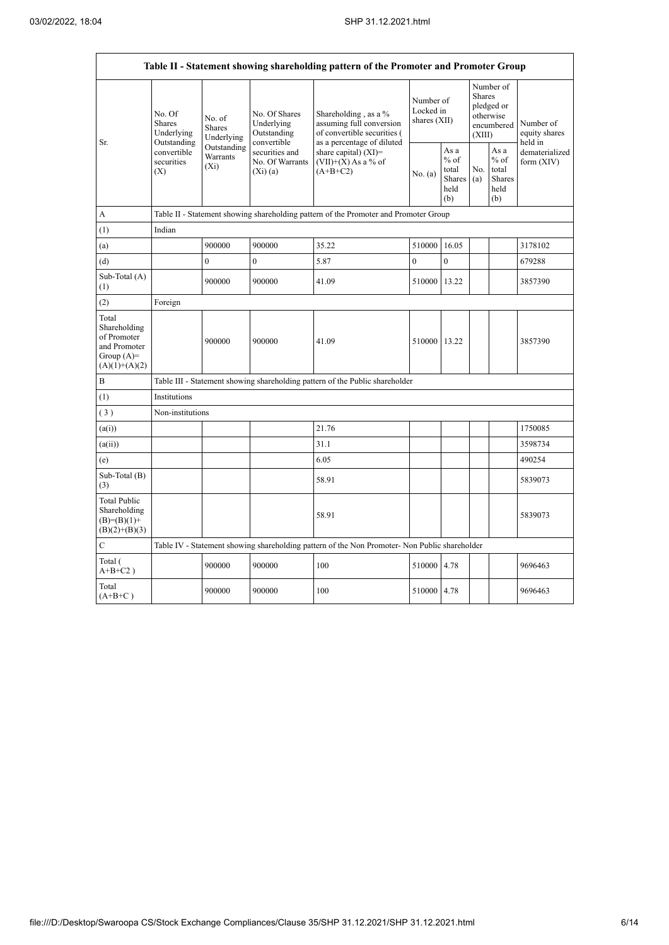| Table II - Statement showing shareholding pattern of the Promoter and Promoter Group    |                                                 |                                                                                      |                                                                |                                                                                                                 |                                        |                                                  |                         |                                                         |                                       |  |  |  |
|-----------------------------------------------------------------------------------------|-------------------------------------------------|--------------------------------------------------------------------------------------|----------------------------------------------------------------|-----------------------------------------------------------------------------------------------------------------|----------------------------------------|--------------------------------------------------|-------------------------|---------------------------------------------------------|---------------------------------------|--|--|--|
| Sr.                                                                                     | No. Of<br>Shares<br>Underlying                  | No. of<br>Shares<br>Underlying                                                       | No. Of Shares<br>Underlying<br>Outstanding                     | Shareholding, as a $%$<br>assuming full conversion<br>of convertible securities (<br>as a percentage of diluted | Number of<br>Locked in<br>shares (XII) |                                                  | <b>Shares</b><br>(XIII) | Number of<br>pledged or<br>otherwise<br>encumbered      | Number of<br>equity shares<br>held in |  |  |  |
|                                                                                         | Outstanding<br>convertible<br>securities<br>(X) | Outstanding<br>Warrants<br>$(X_i)$                                                   | convertible<br>securities and<br>No. Of Warrants<br>$(X_i)(a)$ | share capital) (XI)=<br>$(VII)+(X)$ As a % of<br>$(A+B+C2)$                                                     | No. (a)                                | As a<br>$%$ of<br>total<br>Shares<br>held<br>(b) | No.<br>(a)              | As a<br>$%$ of<br>total<br><b>Shares</b><br>held<br>(b) | dematerialized<br>form $(XIV)$        |  |  |  |
| A                                                                                       |                                                 | Table II - Statement showing shareholding pattern of the Promoter and Promoter Group |                                                                |                                                                                                                 |                                        |                                                  |                         |                                                         |                                       |  |  |  |
| (1)                                                                                     | Indian                                          |                                                                                      |                                                                |                                                                                                                 |                                        |                                                  |                         |                                                         |                                       |  |  |  |
| (a)                                                                                     |                                                 | 900000                                                                               | 900000                                                         | 35.22                                                                                                           | 510000                                 | 16.05                                            |                         |                                                         | 3178102                               |  |  |  |
| (d)                                                                                     |                                                 | $\theta$                                                                             | $\theta$                                                       | 5.87                                                                                                            | $\theta$                               | $\theta$                                         |                         |                                                         | 679288                                |  |  |  |
| Sub-Total (A)<br>(1)                                                                    |                                                 | 900000                                                                               | 900000                                                         | 41.09                                                                                                           | 510000                                 | 13.22                                            |                         |                                                         | 3857390                               |  |  |  |
| (2)                                                                                     | Foreign                                         |                                                                                      |                                                                |                                                                                                                 |                                        |                                                  |                         |                                                         |                                       |  |  |  |
| Total<br>Shareholding<br>of Promoter<br>and Promoter<br>Group $(A)=$<br>$(A)(1)+(A)(2)$ |                                                 | 900000                                                                               | 900000                                                         | 41.09                                                                                                           | 510000 13.22                           |                                                  |                         |                                                         | 3857390                               |  |  |  |
| B                                                                                       |                                                 |                                                                                      |                                                                | Table III - Statement showing shareholding pattern of the Public shareholder                                    |                                        |                                                  |                         |                                                         |                                       |  |  |  |
| (1)                                                                                     | <b>Institutions</b>                             |                                                                                      |                                                                |                                                                                                                 |                                        |                                                  |                         |                                                         |                                       |  |  |  |
| (3)                                                                                     | Non-institutions                                |                                                                                      |                                                                |                                                                                                                 |                                        |                                                  |                         |                                                         |                                       |  |  |  |
| (a(i))                                                                                  |                                                 |                                                                                      |                                                                | 21.76                                                                                                           |                                        |                                                  |                         |                                                         | 1750085                               |  |  |  |
| (a(ii))                                                                                 |                                                 |                                                                                      |                                                                | 31.1                                                                                                            |                                        |                                                  |                         |                                                         | 3598734                               |  |  |  |
| (e)                                                                                     |                                                 |                                                                                      |                                                                | 6.05                                                                                                            |                                        |                                                  |                         |                                                         | 490254                                |  |  |  |
| Sub-Total (B)<br>(3)                                                                    |                                                 |                                                                                      |                                                                | 58.91                                                                                                           |                                        |                                                  |                         |                                                         | 5839073                               |  |  |  |
| <b>Total Public</b><br>Shareholding<br>$(B)=(B)(1)+$<br>$(B)(2)+(B)(3)$                 |                                                 |                                                                                      |                                                                | 58.91                                                                                                           |                                        |                                                  |                         |                                                         | 5839073                               |  |  |  |
| C                                                                                       |                                                 |                                                                                      |                                                                | Table IV - Statement showing shareholding pattern of the Non Promoter- Non Public shareholder                   |                                        |                                                  |                         |                                                         |                                       |  |  |  |
| Total (<br>$A+B+C2$ )                                                                   |                                                 | 900000                                                                               | 900000                                                         | 100                                                                                                             | 510000                                 | 4.78                                             |                         |                                                         | 9696463                               |  |  |  |
| Total<br>$(A+B+C)$                                                                      |                                                 | 900000                                                                               | 900000                                                         | 100                                                                                                             | 510000                                 | 4.78                                             |                         |                                                         | 9696463                               |  |  |  |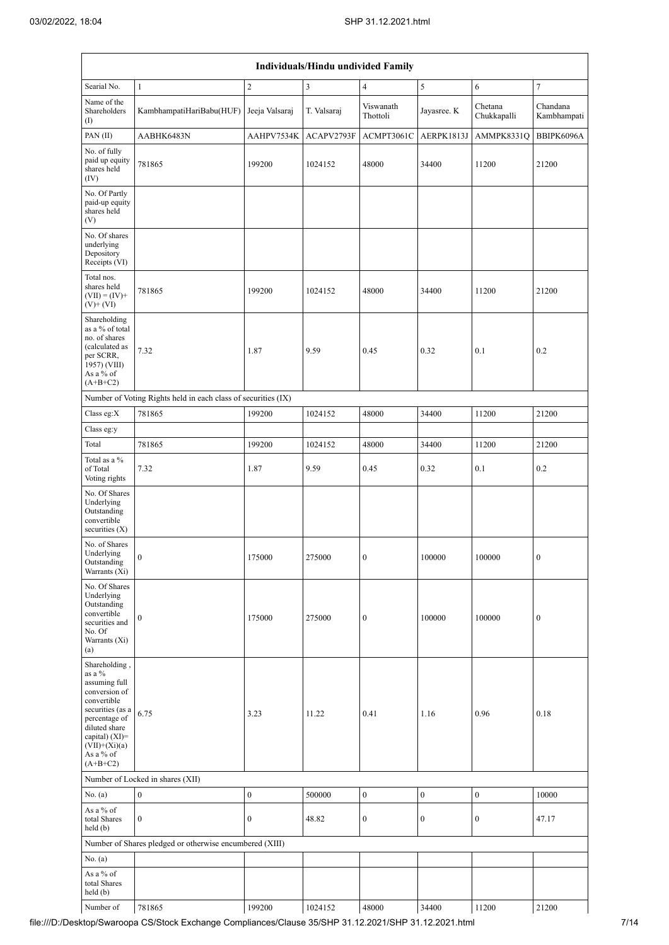| Individuals/Hindu undivided Family                                                                                                                                                                  |                                                               |                  |             |                       |                  |                        |                         |  |  |  |  |
|-----------------------------------------------------------------------------------------------------------------------------------------------------------------------------------------------------|---------------------------------------------------------------|------------------|-------------|-----------------------|------------------|------------------------|-------------------------|--|--|--|--|
| Searial No.                                                                                                                                                                                         | $\mathbf{1}$                                                  | $\sqrt{2}$       | 3           | $\overline{4}$        | $\sqrt{5}$       | 6                      | $\tau$                  |  |  |  |  |
| Name of the<br>Shareholders<br>$\left( \mathrm{I}\right)$                                                                                                                                           | KambhampatiHariBabu(HUF)                                      | Jeeja Valsaraj   | T. Valsaraj | Viswanath<br>Thottoli | Jayasree. K      | Chetana<br>Chukkapalli | Chandana<br>Kambhampati |  |  |  |  |
| PAN(II)                                                                                                                                                                                             | AABHK6483N                                                    | AAHPV7534K       | ACAPV2793F  | ACMPT3061C            | AERPK1813J       | AMMPK8331Q             | BBIPK6096A              |  |  |  |  |
| No. of fully<br>paid up equity<br>shares held<br>(IV)                                                                                                                                               | 781865                                                        | 199200           | 1024152     | 48000                 | 34400            | 11200                  | 21200                   |  |  |  |  |
| No. Of Partly<br>paid-up equity<br>shares held<br>(V)                                                                                                                                               |                                                               |                  |             |                       |                  |                        |                         |  |  |  |  |
| No. Of shares<br>underlying<br>Depository<br>Receipts (VI)                                                                                                                                          |                                                               |                  |             |                       |                  |                        |                         |  |  |  |  |
| Total nos.<br>shares held<br>$(VII) = (IV) +$<br>$(V)+(VI)$                                                                                                                                         | 781865                                                        | 199200           | 1024152     | 48000                 | 34400            | 11200                  | 21200                   |  |  |  |  |
| Shareholding<br>as a % of total<br>no. of shares<br>(calculated as<br>per SCRR,<br>1957) (VIII)<br>As a % of<br>$(A+B+C2)$                                                                          | 7.32                                                          | 1.87             | 9.59        | 0.45                  | 0.32             | 0.1                    | 0.2                     |  |  |  |  |
|                                                                                                                                                                                                     | Number of Voting Rights held in each class of securities (IX) |                  |             |                       |                  |                        |                         |  |  |  |  |
| Class eg:X                                                                                                                                                                                          | 781865                                                        | 199200           | 1024152     | 48000                 | 34400            | 11200                  | 21200                   |  |  |  |  |
| Class eg:y                                                                                                                                                                                          |                                                               |                  |             |                       |                  |                        |                         |  |  |  |  |
| Total                                                                                                                                                                                               | 781865                                                        | 199200           | 1024152     | 48000                 | 34400            | 11200                  | 21200                   |  |  |  |  |
| Total as a %<br>of Total<br>Voting rights                                                                                                                                                           | 7.32                                                          | 1.87             | 9.59        | 0.45                  | 0.32             | 0.1                    | 0.2                     |  |  |  |  |
| No. Of Shares<br>Underlying<br>Outstanding<br>convertible<br>securities $(X)$                                                                                                                       |                                                               |                  |             |                       |                  |                        |                         |  |  |  |  |
| No. of Shares<br>Underlying<br>Outstanding<br>Warrants (Xi)                                                                                                                                         | $\boldsymbol{0}$                                              | 175000           | 275000      | $\boldsymbol{0}$      | 100000           | 100000                 | $\boldsymbol{0}$        |  |  |  |  |
| No. Of Shares<br>Underlying<br>Outstanding<br>convertible<br>securities and<br>No. Of<br>Warrants (Xi)<br>(a)                                                                                       | $\mathbf{0}$                                                  | 175000           | 275000      | $\boldsymbol{0}$      | 100000           | 100000                 | $\boldsymbol{0}$        |  |  |  |  |
| Shareholding,<br>as a $\%$<br>assuming full<br>conversion of<br>convertible<br>securities (as a<br>percentage of<br>diluted share<br>capital) $(XI)=$<br>$(VII)+(Xi)(a)$<br>As a % of<br>$(A+B+C2)$ | 6.75                                                          | 3.23             | 11.22       | 0.41                  | 1.16             | 0.96                   | 0.18                    |  |  |  |  |
|                                                                                                                                                                                                     | Number of Locked in shares (XII)                              |                  |             |                       |                  |                        |                         |  |  |  |  |
| No. (a)                                                                                                                                                                                             | $\boldsymbol{0}$                                              | $\bf{0}$         | 500000      | $\boldsymbol{0}$      | $\boldsymbol{0}$ | $\boldsymbol{0}$       | 10000                   |  |  |  |  |
| As a % of<br>total Shares<br>held(b)                                                                                                                                                                | $\mathbf{0}$                                                  | $\boldsymbol{0}$ | 48.82       | $\boldsymbol{0}$      | $\boldsymbol{0}$ | $\boldsymbol{0}$       | 47.17                   |  |  |  |  |
|                                                                                                                                                                                                     | Number of Shares pledged or otherwise encumbered (XIII)       |                  |             |                       |                  |                        |                         |  |  |  |  |
| No. (a)                                                                                                                                                                                             |                                                               |                  |             |                       |                  |                        |                         |  |  |  |  |
| As a % of<br>total Shares<br>held (b)                                                                                                                                                               |                                                               |                  |             |                       |                  |                        |                         |  |  |  |  |
| Number of                                                                                                                                                                                           | 781865                                                        | 199200           | 1024152     | 48000                 | 34400            | 11200                  | 21200                   |  |  |  |  |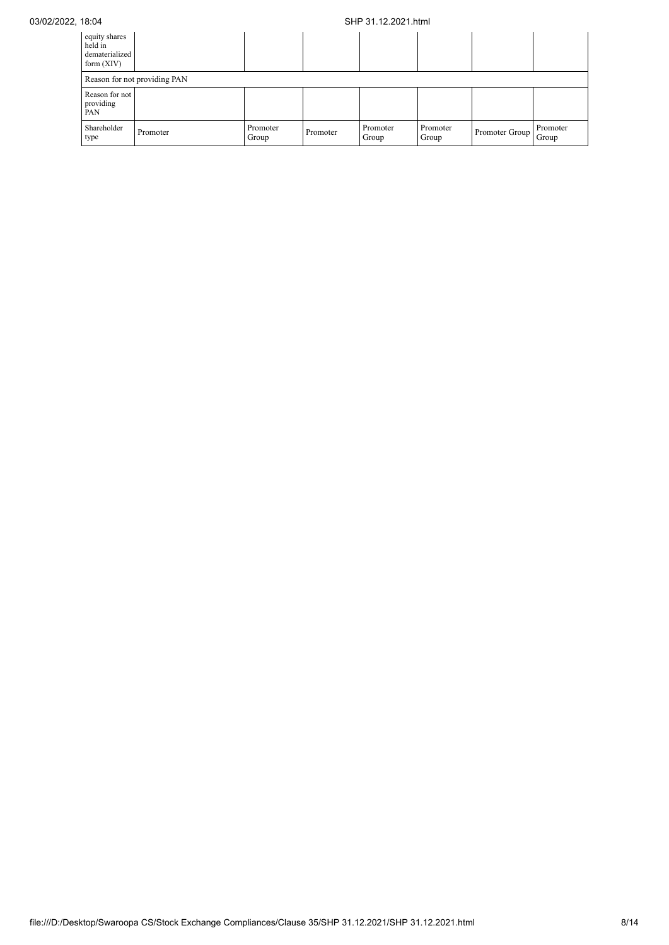## 03/02/2022, 18:04 SHP 31.12.2021.html

| equity shares<br>held in<br>dematerialized<br>form $(XIV)$ |          |                   |          |                   |                   |                |                   |  |  |  |
|------------------------------------------------------------|----------|-------------------|----------|-------------------|-------------------|----------------|-------------------|--|--|--|
| Reason for not providing PAN                               |          |                   |          |                   |                   |                |                   |  |  |  |
| Reason for not<br>providing<br>PAN                         |          |                   |          |                   |                   |                |                   |  |  |  |
| Shareholder<br>type                                        | Promoter | Promoter<br>Group | Promoter | Promoter<br>Group | Promoter<br>Group | Promoter Group | Promoter<br>Group |  |  |  |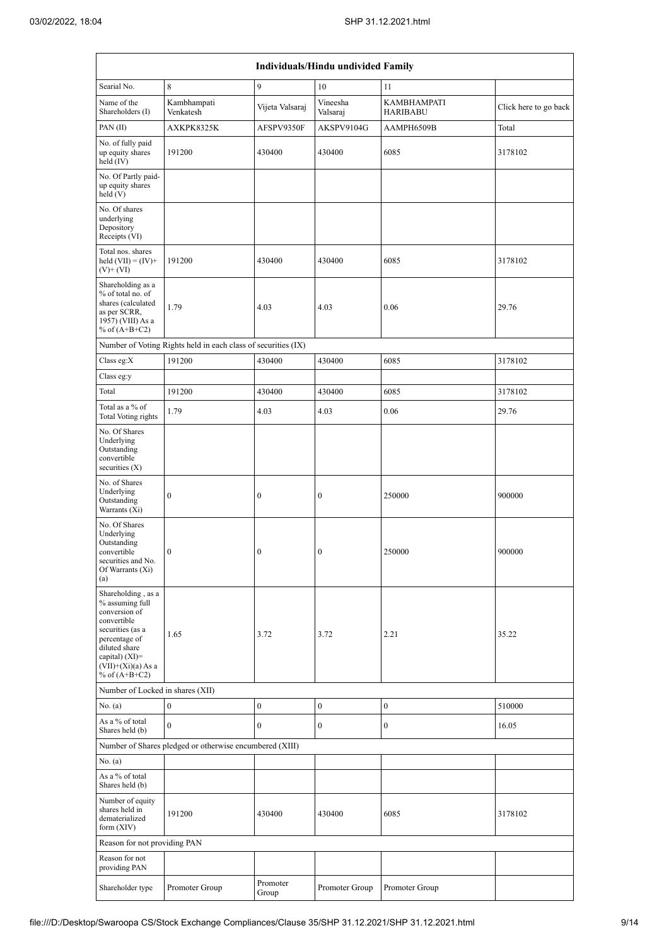| Individuals/Hindu undivided Family                                                                                                                                                         |                                                               |                   |                      |                                       |                       |  |  |  |  |  |
|--------------------------------------------------------------------------------------------------------------------------------------------------------------------------------------------|---------------------------------------------------------------|-------------------|----------------------|---------------------------------------|-----------------------|--|--|--|--|--|
| Searial No.                                                                                                                                                                                | 8                                                             | 9                 | 10                   | 11                                    |                       |  |  |  |  |  |
| Name of the<br>Shareholders (I)                                                                                                                                                            | Kambhampati<br>Venkatesh                                      | Vijeta Valsaraj   | Vineesha<br>Valsaraj | <b>KAMBHAMPATI</b><br><b>HARIBABU</b> | Click here to go back |  |  |  |  |  |
| PAN(II)                                                                                                                                                                                    | AXKPK8325K                                                    | AFSPV9350F        | AKSPV9104G           | AAMPH6509B                            | Total                 |  |  |  |  |  |
| No. of fully paid<br>up equity shares<br>held $(IV)$                                                                                                                                       | 191200                                                        | 430400            | 430400               | 6085                                  | 3178102               |  |  |  |  |  |
| No. Of Partly paid-<br>up equity shares<br>held(V)                                                                                                                                         |                                                               |                   |                      |                                       |                       |  |  |  |  |  |
| No. Of shares<br>underlying<br>Depository<br>Receipts (VI)                                                                                                                                 |                                                               |                   |                      |                                       |                       |  |  |  |  |  |
| Total nos. shares<br>held $(VII) = (IV) +$<br>$(V)$ + $(VI)$                                                                                                                               | 191200                                                        | 430400            | 430400               | 6085                                  | 3178102               |  |  |  |  |  |
| Shareholding as a<br>% of total no. of<br>shares (calculated<br>as per SCRR,<br>1957) (VIII) As a<br>% of $(A+B+C2)$                                                                       | 1.79                                                          | 4.03              | 4.03                 | 0.06                                  | 29.76                 |  |  |  |  |  |
|                                                                                                                                                                                            | Number of Voting Rights held in each class of securities (IX) |                   |                      |                                       |                       |  |  |  |  |  |
| Class eg:X                                                                                                                                                                                 | 191200                                                        | 430400            | 430400               | 6085                                  | 3178102               |  |  |  |  |  |
| Class eg:y                                                                                                                                                                                 |                                                               |                   |                      |                                       |                       |  |  |  |  |  |
| Total                                                                                                                                                                                      | 191200                                                        | 430400            | 430400               | 6085                                  | 3178102               |  |  |  |  |  |
| Total as a % of<br>Total Voting rights                                                                                                                                                     | 1.79                                                          | 4.03              | 4.03                 | 0.06                                  | 29.76                 |  |  |  |  |  |
| No. Of Shares<br>Underlying<br>Outstanding<br>convertible<br>securities $(X)$                                                                                                              |                                                               |                   |                      |                                       |                       |  |  |  |  |  |
| No. of Shares<br>Underlying<br>Outstanding<br>Warrants (Xi)                                                                                                                                | $\boldsymbol{0}$                                              | $\boldsymbol{0}$  | 0                    | 250000                                | 900000                |  |  |  |  |  |
| No. Of Shares<br>Underlying<br>Outstanding<br>convertible<br>securities and No.<br>Of Warrants (Xi)<br>(a)                                                                                 | $\boldsymbol{0}$                                              | $\boldsymbol{0}$  | $\mathbf{0}$         | 250000                                | 900000                |  |  |  |  |  |
| Shareholding, as a<br>% assuming full<br>conversion of<br>convertible<br>securities (as a<br>percentage of<br>diluted share<br>capital) $(XI)=$<br>$(VII)+(Xi)(a) As a$<br>% of $(A+B+C2)$ | 1.65                                                          | 3.72              | 3.72                 | 2.21                                  | 35.22                 |  |  |  |  |  |
| Number of Locked in shares (XII)                                                                                                                                                           |                                                               |                   |                      |                                       |                       |  |  |  |  |  |
| No. (a)                                                                                                                                                                                    | $\overline{0}$                                                | $\boldsymbol{0}$  | $\boldsymbol{0}$     | $\boldsymbol{0}$                      | 510000                |  |  |  |  |  |
| As a % of total<br>Shares held (b)                                                                                                                                                         | $\theta$                                                      | $\mathbf{0}$      | $\overline{0}$       | $\bf{0}$                              | 16.05                 |  |  |  |  |  |
|                                                                                                                                                                                            | Number of Shares pledged or otherwise encumbered (XIII)       |                   |                      |                                       |                       |  |  |  |  |  |
| No. (a)                                                                                                                                                                                    |                                                               |                   |                      |                                       |                       |  |  |  |  |  |
| As a % of total<br>Shares held (b)                                                                                                                                                         |                                                               |                   |                      |                                       |                       |  |  |  |  |  |
| Number of equity<br>shares held in<br>dematerialized<br>form $(XIV)$                                                                                                                       | 191200                                                        | 430400            | 430400               | 6085                                  | 3178102               |  |  |  |  |  |
| Reason for not providing PAN                                                                                                                                                               |                                                               |                   |                      |                                       |                       |  |  |  |  |  |
| Reason for not<br>providing PAN                                                                                                                                                            |                                                               |                   |                      |                                       |                       |  |  |  |  |  |
| Shareholder type                                                                                                                                                                           | Promoter Group                                                | Promoter<br>Group | Promoter Group       | Promoter Group                        |                       |  |  |  |  |  |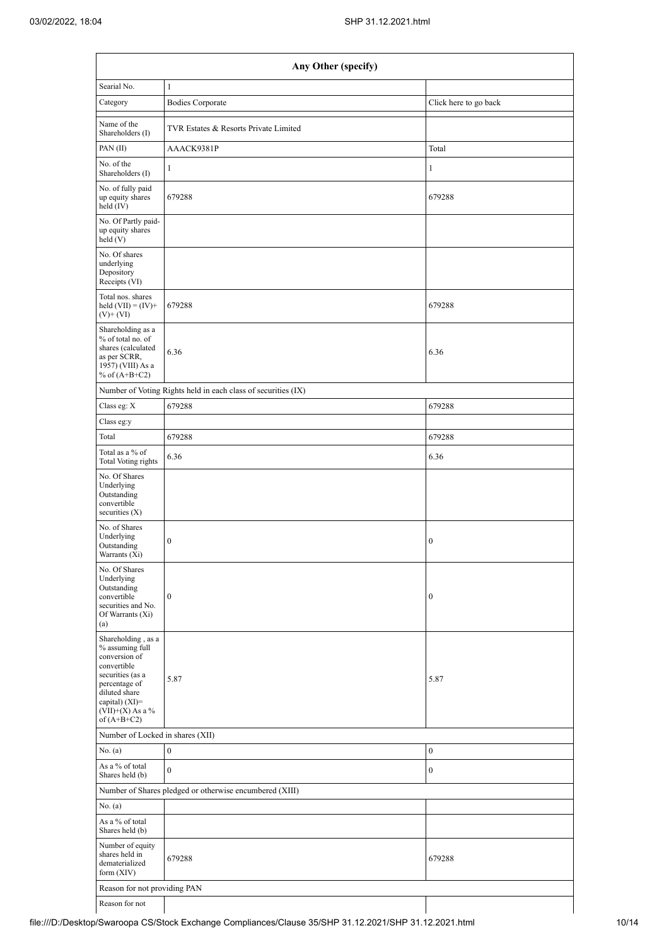|                                                                                                                                                                                        | Any Other (specify)                                           |                       |  |  |  |  |  |  |  |  |  |
|----------------------------------------------------------------------------------------------------------------------------------------------------------------------------------------|---------------------------------------------------------------|-----------------------|--|--|--|--|--|--|--|--|--|
| Searial No.                                                                                                                                                                            | $\,1$                                                         |                       |  |  |  |  |  |  |  |  |  |
| Category                                                                                                                                                                               | <b>Bodies Corporate</b>                                       | Click here to go back |  |  |  |  |  |  |  |  |  |
| Name of the<br>Shareholders (I)                                                                                                                                                        | TVR Estates & Resorts Private Limited                         |                       |  |  |  |  |  |  |  |  |  |
| PAN $(II)$                                                                                                                                                                             | AAACK9381P                                                    | Total                 |  |  |  |  |  |  |  |  |  |
| No. of the<br>Shareholders (I)                                                                                                                                                         | $\mathbf{1}$                                                  | $\mathbf{1}$          |  |  |  |  |  |  |  |  |  |
| No. of fully paid<br>up equity shares<br>held (IV)                                                                                                                                     | 679288                                                        | 679288                |  |  |  |  |  |  |  |  |  |
| No. Of Partly paid-<br>up equity shares<br>held(V)                                                                                                                                     |                                                               |                       |  |  |  |  |  |  |  |  |  |
| No. Of shares<br>underlying<br>Depository<br>Receipts (VI)                                                                                                                             |                                                               |                       |  |  |  |  |  |  |  |  |  |
| Total nos. shares<br>held $(VII) = (IV) +$<br>$(V)$ + $(VI)$                                                                                                                           | 679288                                                        | 679288                |  |  |  |  |  |  |  |  |  |
| Shareholding as a<br>% of total no. of<br>shares (calculated<br>as per SCRR,<br>1957) (VIII) As a<br>% of $(A+B+C2)$                                                                   | 6.36                                                          | 6.36                  |  |  |  |  |  |  |  |  |  |
|                                                                                                                                                                                        | Number of Voting Rights held in each class of securities (IX) |                       |  |  |  |  |  |  |  |  |  |
| Class eg: X                                                                                                                                                                            | 679288                                                        | 679288                |  |  |  |  |  |  |  |  |  |
| Class eg:y                                                                                                                                                                             |                                                               |                       |  |  |  |  |  |  |  |  |  |
| Total                                                                                                                                                                                  | 679288                                                        | 679288                |  |  |  |  |  |  |  |  |  |
| Total as a % of<br>Total Voting rights                                                                                                                                                 | 6.36                                                          | 6.36                  |  |  |  |  |  |  |  |  |  |
| No. Of Shares<br>Underlying<br>Outstanding<br>convertible<br>securities $(X)$                                                                                                          |                                                               |                       |  |  |  |  |  |  |  |  |  |
| No. of Shares<br>Underlying<br>Outstanding<br>Warrants (Xi)                                                                                                                            | $\boldsymbol{0}$                                              | $\boldsymbol{0}$      |  |  |  |  |  |  |  |  |  |
| No. Of Shares<br>Underlying<br>Outstanding<br>convertible<br>securities and No.<br>Of Warrants (Xi)<br>(a)                                                                             | $\boldsymbol{0}$                                              | $\boldsymbol{0}$      |  |  |  |  |  |  |  |  |  |
| Shareholding, as a<br>% assuming full<br>conversion of<br>convertible<br>securities (as a<br>percentage of<br>diluted share<br>capital) $(XI)=$<br>$(VII)+(X)$ As a %<br>of $(A+B+C2)$ | 5.87                                                          | 5.87                  |  |  |  |  |  |  |  |  |  |
| Number of Locked in shares (XII)                                                                                                                                                       |                                                               |                       |  |  |  |  |  |  |  |  |  |
| No. (a)                                                                                                                                                                                | $\boldsymbol{0}$                                              | $\boldsymbol{0}$      |  |  |  |  |  |  |  |  |  |
| As a % of total<br>Shares held (b)                                                                                                                                                     | $\mathbf{0}$                                                  | $\boldsymbol{0}$      |  |  |  |  |  |  |  |  |  |
|                                                                                                                                                                                        | Number of Shares pledged or otherwise encumbered (XIII)       |                       |  |  |  |  |  |  |  |  |  |
| No. (a)                                                                                                                                                                                |                                                               |                       |  |  |  |  |  |  |  |  |  |
| As a % of total<br>Shares held (b)                                                                                                                                                     |                                                               |                       |  |  |  |  |  |  |  |  |  |
| Number of equity<br>shares held in<br>dematerialized<br>form $(XIV)$                                                                                                                   | 679288                                                        | 679288                |  |  |  |  |  |  |  |  |  |
| Reason for not providing PAN                                                                                                                                                           |                                                               |                       |  |  |  |  |  |  |  |  |  |
| Reason for not                                                                                                                                                                         |                                                               |                       |  |  |  |  |  |  |  |  |  |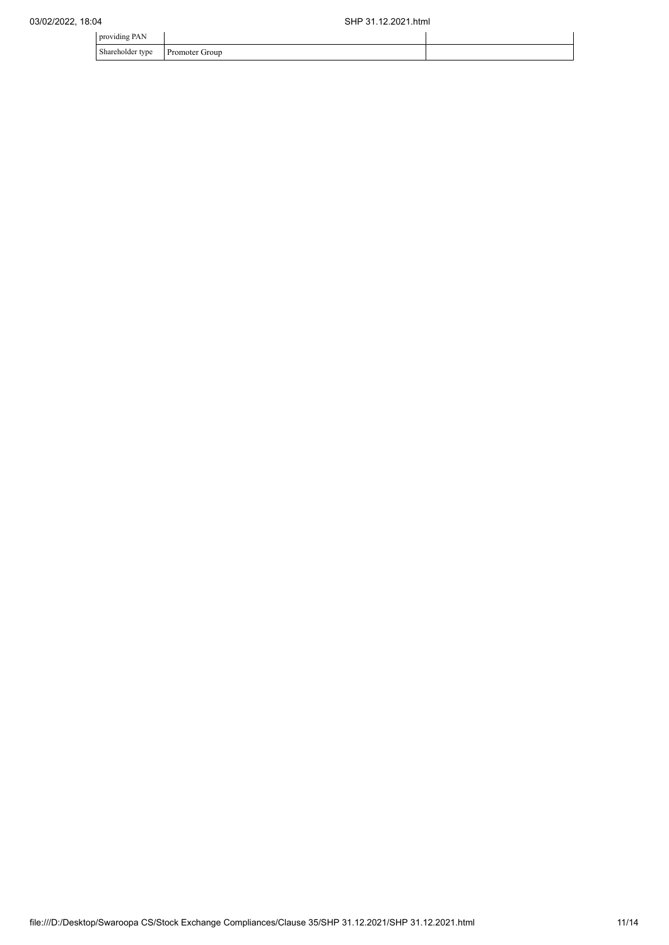| providing PAN                |                |  |
|------------------------------|----------------|--|
| Shareholder type<br>$\sim$ 1 | Promoter Group |  |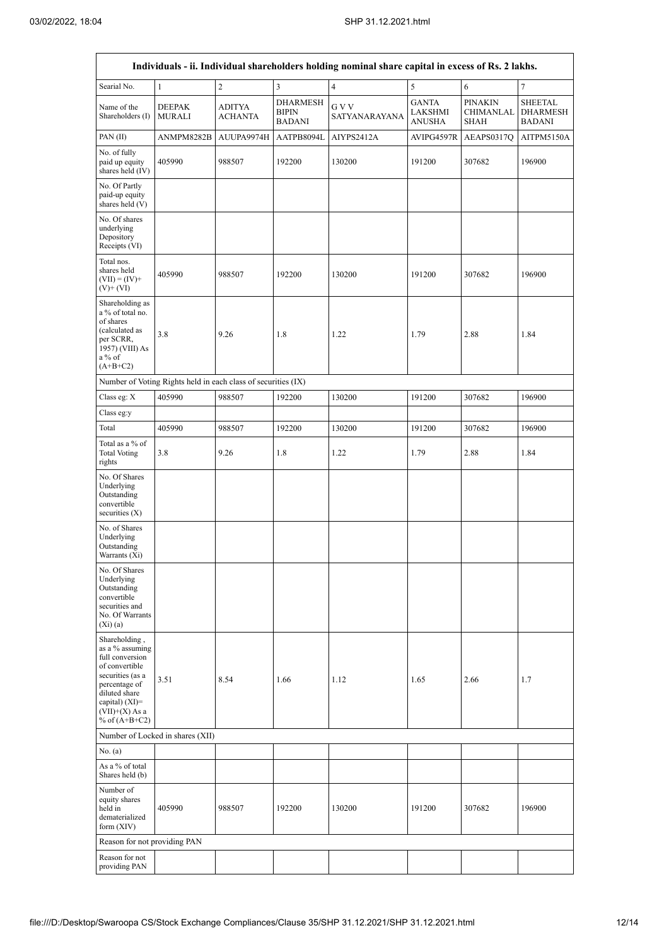Ē

| Individuals - ii. Individual shareholders holding nominal share capital in excess of Rs. 2 lakhs.                                                                                      |                                                               |                   |                                                  |                        |                                          |                                            |                                                    |  |  |  |
|----------------------------------------------------------------------------------------------------------------------------------------------------------------------------------------|---------------------------------------------------------------|-------------------|--------------------------------------------------|------------------------|------------------------------------------|--------------------------------------------|----------------------------------------------------|--|--|--|
| Searial No.                                                                                                                                                                            | $\mathbf{1}$                                                  | $\boldsymbol{2}$  | $\mathfrak{Z}$                                   | $\sqrt{4}$             | 5                                        | 6                                          | $\tau$                                             |  |  |  |
| Name of the<br>Shareholders (I)                                                                                                                                                        | <b>DEEPAK</b><br>MURALI                                       | ADITYA<br>ACHANTA | <b>DHARMESH</b><br><b>BIPIN</b><br><b>BADANI</b> | G V V<br>SATYANARAYANA | <b>GANTA</b><br>LAKSHMI<br><b>ANUSHA</b> | <b>PINAKIN</b><br>CHIMANLAL<br><b>SHAH</b> | <b>SHEETAL</b><br><b>DHARMESH</b><br><b>BADANI</b> |  |  |  |
| PAN(II)                                                                                                                                                                                | ANMPM8282B                                                    | AUUPA9974H        | AATPB8094L                                       | AIYPS2412A             | AVIPG4597R                               | AEAPS0317Q                                 | AITPM5150A                                         |  |  |  |
| No. of fully<br>paid up equity<br>shares held (IV)                                                                                                                                     | 405990                                                        | 988507            | 192200                                           | 130200                 | 191200                                   | 307682                                     | 196900                                             |  |  |  |
| No. Of Partly<br>paid-up equity<br>shares held (V)                                                                                                                                     |                                                               |                   |                                                  |                        |                                          |                                            |                                                    |  |  |  |
| No. Of shares<br>underlying<br>Depository<br>Receipts (VI)                                                                                                                             |                                                               |                   |                                                  |                        |                                          |                                            |                                                    |  |  |  |
| Total nos.<br>shares held<br>$(VII) = (IV) +$<br>$(V)$ + $(VI)$                                                                                                                        | 405990                                                        | 988507            | 192200                                           | 130200                 | 191200                                   | 307682                                     | 196900                                             |  |  |  |
| Shareholding as<br>a % of total no.<br>of shares<br>(calculated as<br>per SCRR,<br>1957) (VIII) As<br>a % of<br>$(A+B+C2)$                                                             | 3.8                                                           | 9.26              | 1.8                                              | 1.22                   | 1.79                                     | 2.88                                       | 1.84                                               |  |  |  |
|                                                                                                                                                                                        | Number of Voting Rights held in each class of securities (IX) |                   |                                                  |                        |                                          |                                            |                                                    |  |  |  |
| Class eg: X                                                                                                                                                                            | 405990                                                        | 988507            | 192200                                           | 130200                 | 191200                                   | 307682                                     | 196900                                             |  |  |  |
| Class eg:y                                                                                                                                                                             |                                                               |                   |                                                  |                        |                                          |                                            |                                                    |  |  |  |
| Total                                                                                                                                                                                  | 405990                                                        | 988507            | 192200                                           | 130200                 | 191200                                   | 307682                                     | 196900                                             |  |  |  |
| Total as a % of<br><b>Total Voting</b><br>rights                                                                                                                                       | 3.8                                                           | 9.26              | 1.8                                              | 1.22                   | 1.79                                     | 2.88                                       | 1.84                                               |  |  |  |
| No. Of Shares<br>Underlying<br>Outstanding<br>convertible<br>securities $(X)$                                                                                                          |                                                               |                   |                                                  |                        |                                          |                                            |                                                    |  |  |  |
| No. of Shares<br>Underlying<br>Outstanding<br>Warrants (Xi)                                                                                                                            |                                                               |                   |                                                  |                        |                                          |                                            |                                                    |  |  |  |
| No. Of Shares<br>Underlying<br>Outstanding<br>convertible<br>securities and<br>No. Of Warrants<br>(Xi)(a)                                                                              |                                                               |                   |                                                  |                        |                                          |                                            |                                                    |  |  |  |
| Shareholding,<br>as a % assuming<br>full conversion<br>of convertible<br>securities (as a<br>percentage of<br>diluted share<br>capital) $(XI)=$<br>$(VII)+(X)$ As a<br>% of $(A+B+C2)$ | 3.51                                                          | 8.54              | 1.66                                             | 1.12                   | 1.65                                     | 2.66                                       | 1.7                                                |  |  |  |
|                                                                                                                                                                                        | Number of Locked in shares (XII)                              |                   |                                                  |                        |                                          |                                            |                                                    |  |  |  |
| No. (a)                                                                                                                                                                                |                                                               |                   |                                                  |                        |                                          |                                            |                                                    |  |  |  |
| As a % of total<br>Shares held (b)                                                                                                                                                     |                                                               |                   |                                                  |                        |                                          |                                            |                                                    |  |  |  |
| Number of<br>equity shares<br>held in<br>dematerialized<br>form $(XIV)$                                                                                                                | 405990                                                        | 988507            | 192200                                           | 130200                 | 191200                                   | 307682                                     | 196900                                             |  |  |  |
| Reason for not providing PAN                                                                                                                                                           |                                                               |                   |                                                  |                        |                                          |                                            |                                                    |  |  |  |
| Reason for not<br>providing PAN                                                                                                                                                        |                                                               |                   |                                                  |                        |                                          |                                            |                                                    |  |  |  |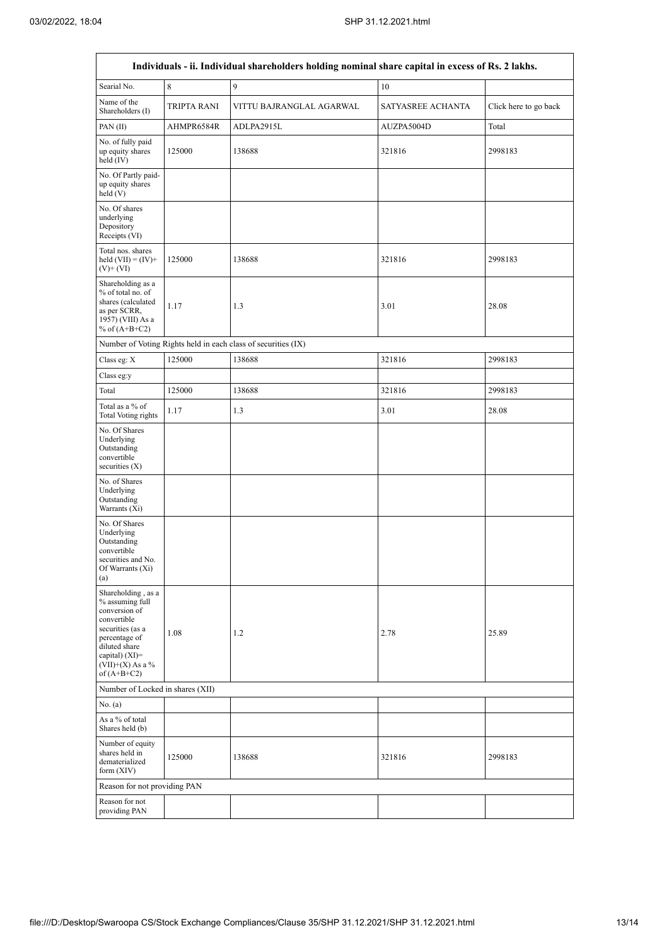| Individuals - ii. Individual shareholders holding nominal share capital in excess of Rs. 2 lakhs.                                                                                      |             |                          |                   |                       |  |  |  |  |  |  |  |
|----------------------------------------------------------------------------------------------------------------------------------------------------------------------------------------|-------------|--------------------------|-------------------|-----------------------|--|--|--|--|--|--|--|
| Searial No.                                                                                                                                                                            | 8           | 9                        | 10                |                       |  |  |  |  |  |  |  |
| Name of the<br>Shareholders (I)                                                                                                                                                        | TRIPTA RANI | VITTU BAJRANGLAL AGARWAL | SATYASREE ACHANTA | Click here to go back |  |  |  |  |  |  |  |
| PAN(II)                                                                                                                                                                                | AHMPR6584R  | ADLPA2915L               | AUZPA5004D        | Total                 |  |  |  |  |  |  |  |
| No. of fully paid<br>up equity shares<br>held $(IV)$                                                                                                                                   | 125000      | 138688                   | 321816            |                       |  |  |  |  |  |  |  |
| No. Of Partly paid-<br>up equity shares<br>held(V)                                                                                                                                     |             |                          |                   |                       |  |  |  |  |  |  |  |
| No. Of shares<br>underlying<br>Depository<br>Receipts (VI)                                                                                                                             |             |                          |                   |                       |  |  |  |  |  |  |  |
| Total nos. shares<br>held $(VII) = (IV) +$<br>$(V)$ + $(VI)$                                                                                                                           | 125000      | 138688                   | 2998183           |                       |  |  |  |  |  |  |  |
| Shareholding as a<br>% of total no. of<br>shares (calculated<br>as per SCRR,<br>1957) (VIII) As a<br>% of $(A+B+C2)$                                                                   | 1.17        | 1.3                      | 3.01              | 28.08                 |  |  |  |  |  |  |  |
| Number of Voting Rights held in each class of securities (IX)                                                                                                                          |             |                          |                   |                       |  |  |  |  |  |  |  |
| Class eg: X                                                                                                                                                                            | 125000      | 138688                   | 321816            | 2998183               |  |  |  |  |  |  |  |
| Class eg:y                                                                                                                                                                             |             |                          |                   |                       |  |  |  |  |  |  |  |
| Total                                                                                                                                                                                  | 125000      | 138688                   | 321816            | 2998183               |  |  |  |  |  |  |  |
| Total as a % of<br><b>Total Voting rights</b>                                                                                                                                          | 1.17        | 1.3                      | 3.01              | 28.08                 |  |  |  |  |  |  |  |
| No. Of Shares<br>Underlying<br>Outstanding<br>convertible<br>securities $(X)$                                                                                                          |             |                          |                   |                       |  |  |  |  |  |  |  |
| No. of Shares<br>Underlying<br>Outstanding<br>Warrants (Xi)                                                                                                                            |             |                          |                   |                       |  |  |  |  |  |  |  |
| No. Of Shares<br>Underlying<br>Outstanding<br>convertible<br>securities and No.<br>Of Warrants (Xi)<br>(a)                                                                             |             |                          |                   |                       |  |  |  |  |  |  |  |
| Shareholding, as a<br>% assuming full<br>conversion of<br>convertible<br>securities (as a<br>percentage of<br>diluted share<br>capital) $(XI)=$<br>$(VII)+(X)$ As a %<br>of $(A+B+C2)$ | 1.08        | 1.2                      | 2.78              | 25.89                 |  |  |  |  |  |  |  |
| Number of Locked in shares (XII)                                                                                                                                                       |             |                          |                   |                       |  |  |  |  |  |  |  |
| No. $(a)$                                                                                                                                                                              |             |                          |                   |                       |  |  |  |  |  |  |  |
| As a % of total<br>Shares held (b)                                                                                                                                                     |             |                          |                   |                       |  |  |  |  |  |  |  |
| Number of equity<br>shares held in<br>dematerialized<br>form (XIV)                                                                                                                     | 125000      | 138688                   | 321816            | 2998183               |  |  |  |  |  |  |  |
| Reason for not providing PAN                                                                                                                                                           |             |                          |                   |                       |  |  |  |  |  |  |  |
| Reason for not<br>providing PAN                                                                                                                                                        |             |                          |                   |                       |  |  |  |  |  |  |  |